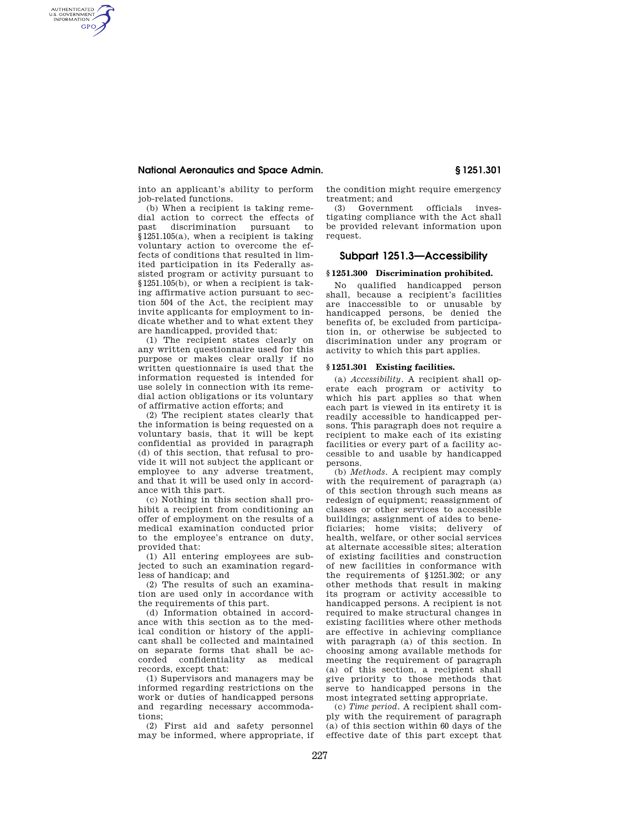### **National Aeronautics and Space Admin. § 1251.301**

AUTHENTICATED<br>U.S. GOVERNMENT<br>INFORMATION **GPO** 

> into an applicant's ability to perform job-related functions.

> (b) When a recipient is taking remedial action to correct the effects of past discrimination pursuant to §1251.105(a), when a recipient is taking voluntary action to overcome the effects of conditions that resulted in limited participation in its Federally assisted program or activity pursuant to §1251.105(b), or when a recipient is taking affirmative action pursuant to section 504 of the Act, the recipient may invite applicants for employment to indicate whether and to what extent they are handicapped, provided that:

> (1) The recipient states clearly on any written questionnaire used for this purpose or makes clear orally if no written questionnaire is used that the information requested is intended for use solely in connection with its remedial action obligations or its voluntary of affirmative action efforts; and

> (2) The recipient states clearly that the information is being requested on a voluntary basis, that it will be kept confidential as provided in paragraph (d) of this section, that refusal to provide it will not subject the applicant or employee to any adverse treatment, and that it will be used only in accordance with this part.

> (c) Nothing in this section shall prohibit a recipient from conditioning an offer of employment on the results of a medical examination conducted prior to the employee's entrance on duty, provided that:

> (1) All entering employees are subjected to such an examination regardless of handicap; and

> (2) The results of such an examination are used only in accordance with the requirements of this part.

> (d) Information obtained in accordance with this section as to the medical condition or history of the applicant shall be collected and maintained on separate forms that shall be accorded confidentiality as medical records, except that:

> (1) Supervisors and managers may be informed regarding restrictions on the work or duties of handicapped persons and regarding necessary accommodations;

> (2) First aid and safety personnel may be informed, where appropriate, if

the condition might require emergency treatment; and

(3) Government officials investigating compliance with the Act shall be provided relevant information upon request.

## **Subpart 1251.3—Accessibility**

#### **§ 1251.300 Discrimination prohibited.**

No qualified handicapped person shall, because a recipient's facilities are inaccessible to or unusable by handicapped persons, be denied the benefits of, be excluded from participation in, or otherwise be subjected to discrimination under any program or activity to which this part applies.

#### **§ 1251.301 Existing facilities.**

(a) *Accessibility.* A recipient shall operate each program or activity to which his part applies so that when each part is viewed in its entirety it is readily accessible to handicapped persons. This paragraph does not require a recipient to make each of its existing facilities or every part of a facility accessible to and usable by handicapped persons.

(b) *Methods.* A recipient may comply with the requirement of paragraph (a) of this section through such means as redesign of equipment; reassignment of classes or other services to accessible buildings; assignment of aides to beneficiaries; home visits; delivery of health, welfare, or other social services at alternate accessible sites; alteration of existing facilities and construction of new facilities in conformance with the requirements of §1251.302; or any other methods that result in making its program or activity accessible to handicapped persons. A recipient is not required to make structural changes in existing facilities where other methods are effective in achieving compliance with paragraph (a) of this section. In choosing among available methods for meeting the requirement of paragraph (a) of this section, a recipient shall give priority to those methods that serve to handicapped persons in the most integrated setting appropriate.

(c) *Time period.* A recipient shall comply with the requirement of paragraph (a) of this section within 60 days of the effective date of this part except that